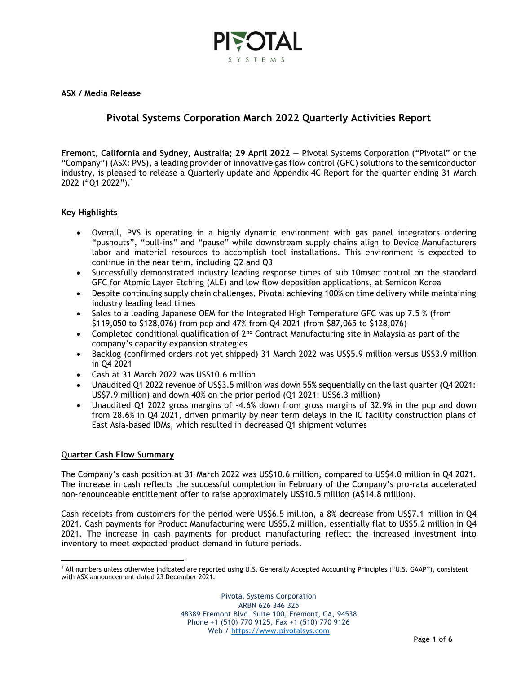

**ASX / Media Release**

## **Pivotal Systems Corporation March 2022 Quarterly Activities Report**

**Fremont, California and Sydney, Australia; 29 April 2022** — Pivotal Systems Corporation ("Pivotal" or the "Company") (ASX: PVS), a leading provider of innovative gas flow control (GFC) solutions to the semiconductor industry, is pleased to release a Quarterly update and Appendix 4C Report for the quarter ending 31 March 2022 ("Q1 2022"). 1

### **Key Highlights**

- Overall, PVS is operating in a highly dynamic environment with gas panel integrators ordering "pushouts", "pull-ins" and "pause" while downstream supply chains align to Device Manufacturers labor and material resources to accomplish tool installations. This environment is expected to continue in the near term, including Q2 and Q3
- Successfully demonstrated industry leading response times of sub 10msec control on the standard GFC for Atomic Layer Etching (ALE) and low flow deposition applications, at Semicon Korea
- Despite continuing supply chain challenges, Pivotal achieving 100% on time delivery while maintaining industry leading lead times
- Sales to a leading Japanese OEM for the Integrated High Temperature GFC was up 7.5 % (from \$119,050 to \$128,076) from pcp and 47% from Q4 2021 (from \$87,065 to \$128,076)
- Completed conditional qualification of  $2^{nd}$  Contract Manufacturing site in Malaysia as part of the company's capacity expansion strategies
- Backlog (confirmed orders not yet shipped) 31 March 2022 was US\$5.9 million versus US\$3.9 million in Q4 2021
- Cash at 31 March 2022 was US\$10.6 million
- Unaudited Q1 2022 revenue of US\$3.5 million was down 55% sequentially on the last quarter (Q4 2021: US\$7.9 million) and down 40% on the prior period (Q1 2021: US\$6.3 million)
- Unaudited Q1 2022 gross margins of -4.6% down from gross margins of 32.9% in the pcp and down from 28.6% in Q4 2021, driven primarily by near term delays in the IC facility construction plans of East Asia-based IDMs, which resulted in decreased Q1 shipment volumes

#### **Quarter Cash Flow Summary**

The Company's cash position at 31 March 2022 was US\$10.6 million, compared to US\$4.0 million in Q4 2021. The increase in cash reflects the successful completion in February of the Company's pro-rata accelerated non-renounceable entitlement offer to raise approximately US\$10.5 million (A\$14.8 million).

Cash receipts from customers for the period were US\$6.5 million, a 8% decrease from US\$7.1 million in Q4 2021. Cash payments for Product Manufacturing were US\$5.2 million, essentially flat to US\$5.2 million in Q4 2021. The increase in cash payments for product manufacturing reflect the increased investment into inventory to meet expected product demand in future periods.

<sup>&</sup>lt;sup>1</sup> All numbers unless otherwise indicated are reported using U.S. Generally Accepted Accounting Principles ("U.S. GAAP"), consistent with ASX announcement dated 23 December 2021.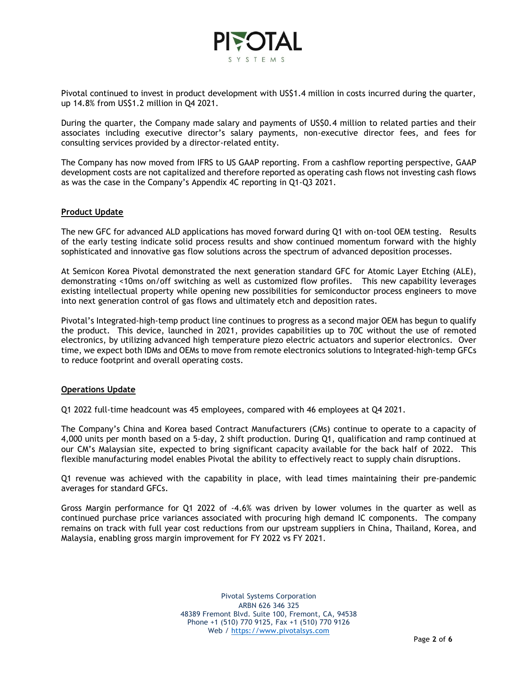

Pivotal continued to invest in product development with US\$1.4 million in costs incurred during the quarter, up 14.8% from US\$1.2 million in Q4 2021.

During the quarter, the Company made salary and payments of US\$0.4 million to related parties and their associates including executive director's salary payments, non-executive director fees, and fees for consulting services provided by a director-related entity.

The Company has now moved from IFRS to US GAAP reporting. From a cashflow reporting perspective, GAAP development costs are not capitalized and therefore reported as operating cash flows not investing cash flows as was the case in the Company's Appendix 4C reporting in Q1-Q3 2021.

#### **Product Update**

The new GFC for advanced ALD applications has moved forward during Q1 with on-tool OEM testing. Results of the early testing indicate solid process results and show continued momentum forward with the highly sophisticated and innovative gas flow solutions across the spectrum of advanced deposition processes.

At Semicon Korea Pivotal demonstrated the next generation standard GFC for Atomic Layer Etching (ALE), demonstrating <10ms on/off switching as well as customized flow profiles. This new capability leverages existing intellectual property while opening new possibilities for semiconductor process engineers to move into next generation control of gas flows and ultimately etch and deposition rates.

Pivotal's Integrated-high-temp product line continues to progress as a second major OEM has begun to qualify the product. This device, launched in 2021, provides capabilities up to 70C without the use of remoted electronics, by utilizing advanced high temperature piezo electric actuators and superior electronics. Over time, we expect both IDMs and OEMs to move from remote electronics solutions to Integrated-high-temp GFCs to reduce footprint and overall operating costs.

#### **Operations Update**

Q1 2022 full-time headcount was 45 employees, compared with 46 employees at Q4 2021.

The Company's China and Korea based Contract Manufacturers (CMs) continue to operate to a capacity of 4,000 units per month based on a 5-day, 2 shift production. During Q1, qualification and ramp continued at our CM's Malaysian site, expected to bring significant capacity available for the back half of 2022. This flexible manufacturing model enables Pivotal the ability to effectively react to supply chain disruptions.

Q1 revenue was achieved with the capability in place, with lead times maintaining their pre-pandemic averages for standard GFCs.

Gross Margin performance for Q1 2022 of -4.6% was driven by lower volumes in the quarter as well as continued purchase price variances associated with procuring high demand IC components. The company remains on track with full year cost reductions from our upstream suppliers in China, Thailand, Korea, and Malaysia, enabling gross margin improvement for FY 2022 vs FY 2021.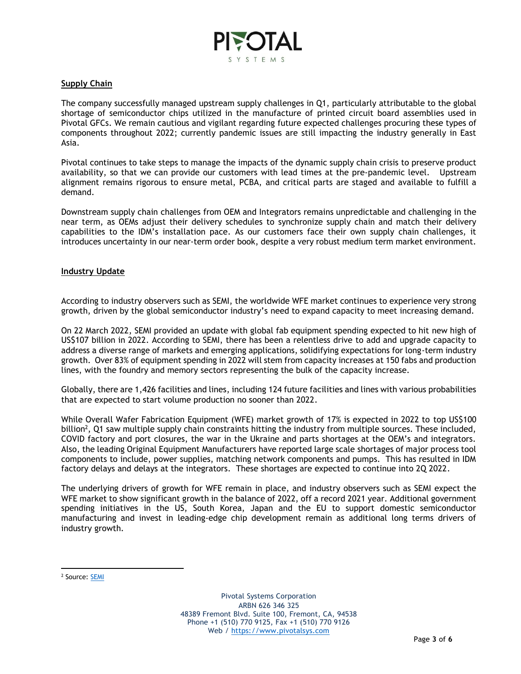

#### **Supply Chain**

The company successfully managed upstream supply challenges in Q1, particularly attributable to the global shortage of semiconductor chips utilized in the manufacture of printed circuit board assemblies used in Pivotal GFCs. We remain cautious and vigilant regarding future expected challenges procuring these types of components throughout 2022; currently pandemic issues are still impacting the industry generally in East Asia.

Pivotal continues to take steps to manage the impacts of the dynamic supply chain crisis to preserve product availability, so that we can provide our customers with lead times at the pre-pandemic level. Upstream alignment remains rigorous to ensure metal, PCBA, and critical parts are staged and available to fulfill a demand.

Downstream supply chain challenges from OEM and Integrators remains unpredictable and challenging in the near term, as OEMs adjust their delivery schedules to synchronize supply chain and match their delivery capabilities to the IDM's installation pace. As our customers face their own supply chain challenges, it introduces uncertainty in our near-term order book, despite a very robust medium term market environment.

#### **Industry Update**

According to industry observers such as SEMI, the worldwide WFE market continues to experience very strong growth, driven by the global semiconductor industry's need to expand capacity to meet increasing demand.

On 22 March 2022, SEMI provided an update with global fab equipment spending expected to hit new high of US\$107 billion in 2022. According to SEMI, there has been a relentless drive to add and upgrade capacity to address a diverse range of markets and emerging applications, solidifying expectations for long-term industry growth. Over 83% of equipment spending in 2022 will stem from capacity increases at 150 fabs and production lines, with the foundry and memory sectors representing the bulk of the capacity increase.

Globally, there are 1,426 facilities and lines, including 124 future facilities and lines with various probabilities that are expected to start volume production no sooner than 2022.

While Overall Wafer Fabrication Equipment (WFE) market growth of 17% is expected in 2022 to top US\$100 billion<sup>2</sup>, Q1 saw multiple supply chain constraints hitting the industry from multiple sources. These included, COVID factory and port closures, the war in the Ukraine and parts shortages at the OEM's and integrators. Also, the leading Original Equipment Manufacturers have reported large scale shortages of major process tool components to include, power supplies, matching network components and pumps. This has resulted in IDM factory delays and delays at the integrators. These shortages are expected to continue into 2Q 2022.

The underlying drivers of growth for WFE remain in place, and industry observers such as SEMI expect the WFE market to show significant growth in the balance of 2022, off a record 2021 year. Additional government spending initiatives in the US, South Korea, Japan and the EU to support domestic semiconductor manufacturing and invest in leading-edge chip development remain as additional long terms drivers of industry growth.

<sup>&</sup>lt;sup>2</sup> Source: <u>SEMI</u>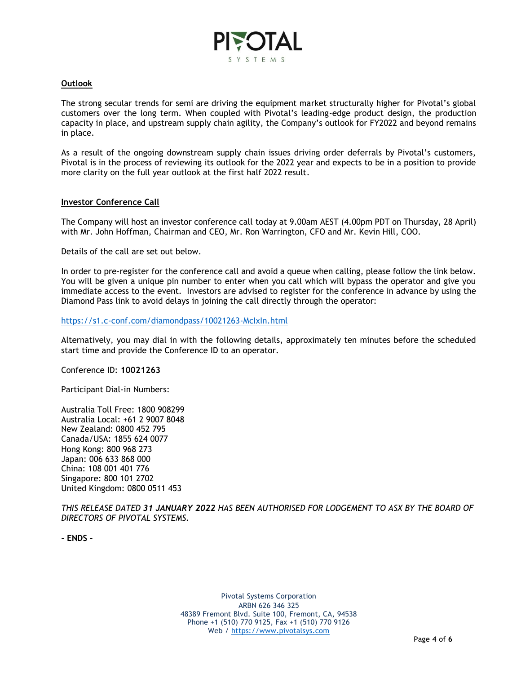

#### **Outlook**

The strong secular trends for semi are driving the equipment market structurally higher for Pivotal's global customers over the long term. When coupled with Pivotal's leading-edge product design, the production capacity in place, and upstream supply chain agility, the Company's outlook for FY2022 and beyond remains in place.

As a result of the ongoing downstream supply chain issues driving order deferrals by Pivotal's customers, Pivotal is in the process of reviewing its outlook for the 2022 year and expects to be in a position to provide more clarity on the full year outlook at the first half 2022 result.

#### **Investor Conference Call**

The Company will host an investor conference call today at 9.00am AEST (4.00pm PDT on Thursday, 28 April) with Mr. John Hoffman, Chairman and CEO, Mr. Ron Warrington, CFO and Mr. Kevin Hill, COO.

Details of the call are set out below.

In order to pre-register for the conference call and avoid a queue when calling, please follow the link below. You will be given a unique pin number to enter when you call which will bypass the operator and give you immediate access to the event. Investors are advised to register for the conference in advance by using the Diamond Pass link to avoid delays in joining the call directly through the operator:

#### <https://s1.c-conf.com/diamondpass/10021263-McIxIn.html>

Alternatively, you may dial in with the following details, approximately ten minutes before the scheduled start time and provide the Conference ID to an operator.

Conference ID: **10021263**

Participant Dial-in Numbers:

Australia Toll Free: 1800 908299 Australia Local: +61 2 9007 8048 New Zealand: 0800 452 795 Canada/USA: 1855 624 0077 Hong Kong: 800 968 273 Japan: 006 633 868 000 China: 108 001 401 776 Singapore: 800 101 2702 United Kingdom: 0800 0511 453

*THIS RELEASE DATED 31 JANUARY 2022 HAS BEEN AUTHORISED FOR LODGEMENT TO ASX BY THE BOARD OF DIRECTORS OF PIVOTAL SYSTEMS.*

**- ENDS -**

Pivotal Systems Corporation ARBN 626 346 325 48389 Fremont Blvd. Suite 100, Fremont, CA, 94538 Phone +1 (510) 770 9125, Fax +1 (510) 770 9126 Web / [https://www.pivotalsys.com](https://www.pivotalsys.com/)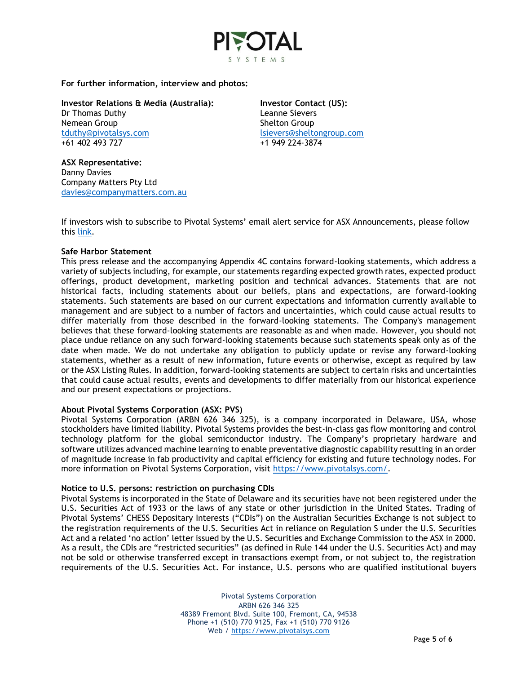

**For further information, interview and photos:**

**Investor Relations & Media (Australia):** Dr Thomas Duthy Nemean Group [tduthy@pivotalsys.com](mailto:tduthy@pivotalsys.com.au) +61 402 493 727

**Investor Contact (US):**  Leanne Sievers Shelton Group [lsievers@sheltongroup.com](mailto:lsievers@sheltongroup.com) +1 949 224-3874

**ASX Representative:**  Danny Davies Company Matters Pty Ltd [davies@companymatters.com.au](mailto:davies@companymatters.com.au)

If investors wish to subscribe to Pivotal Systems' email alert service for ASX Announcements, please follow this [link.](https://www.pivotalsys.com/investors#asx)

#### **Safe Harbor Statement**

This press release and the accompanying Appendix 4C contains forward-looking statements, which address a variety of subjects including, for example, our statements regarding expected growth rates, expected product offerings, product development, marketing position and technical advances. Statements that are not historical facts, including statements about our beliefs, plans and expectations, are forward-looking statements. Such statements are based on our current expectations and information currently available to management and are subject to a number of factors and uncertainties, which could cause actual results to differ materially from those described in the forward-looking statements. The Company's management believes that these forward-looking statements are reasonable as and when made. However, you should not place undue reliance on any such forward-looking statements because such statements speak only as of the date when made. We do not undertake any obligation to publicly update or revise any forward-looking statements, whether as a result of new information, future events or otherwise, except as required by law or the ASX Listing Rules. In addition, forward-looking statements are subject to certain risks and uncertainties that could cause actual results, events and developments to differ materially from our historical experience and our present expectations or projections.

#### **About Pivotal Systems Corporation (ASX: PVS)**

Pivotal Systems Corporation (ARBN 626 346 325), is a company incorporated in Delaware, USA, whose stockholders have limited liability. Pivotal Systems provides the best-in-class gas flow monitoring and control technology platform for the global semiconductor industry. The Company's proprietary hardware and software utilizes advanced machine learning to enable preventative diagnostic capability resulting in an order of magnitude increase in fab productivity and capital efficiency for existing and future technology nodes. For more information on Pivotal Systems Corporation, visit [https://www.pivotalsys.com/.](https://www.pivotalsys.com/)

#### **Notice to U.S. persons: restriction on purchasing CDIs**

Pivotal Systems is incorporated in the State of Delaware and its securities have not been registered under the U.S. Securities Act of 1933 or the laws of any state or other jurisdiction in the United States. Trading of Pivotal Systems' CHESS Depositary Interests ("CDIs") on the Australian Securities Exchange is not subject to the registration requirements of the U.S. Securities Act in reliance on Regulation S under the U.S. Securities Act and a related 'no action' letter issued by the U.S. Securities and Exchange Commission to the ASX in 2000. As a result, the CDIs are "restricted securities" (as defined in Rule 144 under the U.S. Securities Act) and may not be sold or otherwise transferred except in transactions exempt from, or not subject to, the registration requirements of the U.S. Securities Act. For instance, U.S. persons who are qualified institutional buyers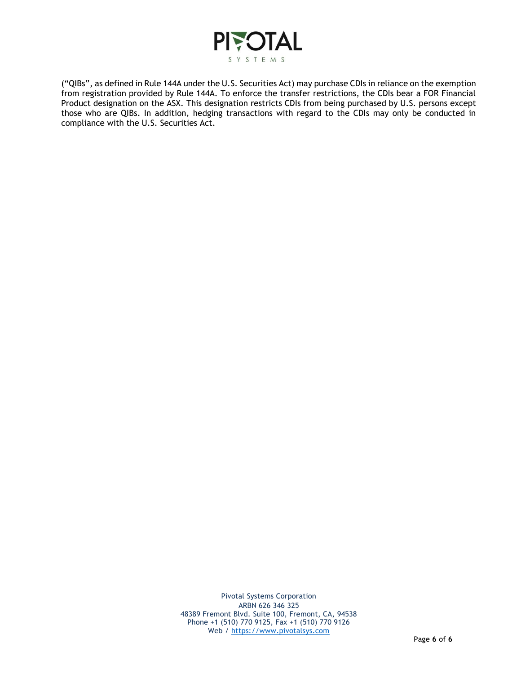

("QIBs", as defined in Rule 144A under the U.S. Securities Act) may purchase CDIs in reliance on the exemption from registration provided by Rule 144A. To enforce the transfer restrictions, the CDIs bear a FOR Financial Product designation on the ASX. This designation restricts CDIs from being purchased by U.S. persons except those who are QIBs. In addition, hedging transactions with regard to the CDIs may only be conducted in compliance with the U.S. Securities Act.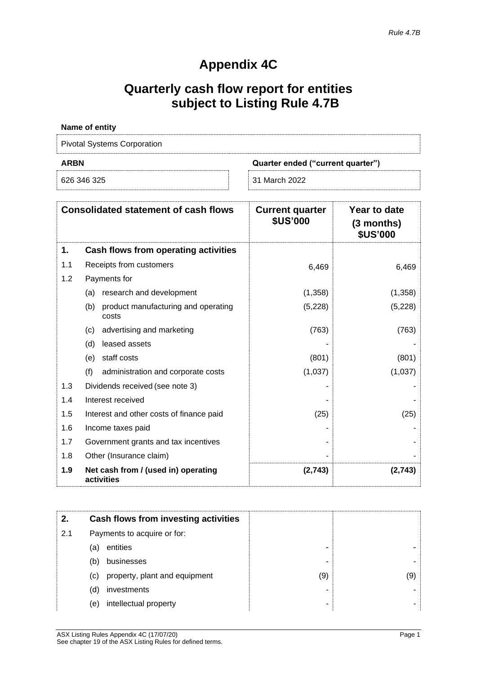# **Appendix 4C**

# **Quarterly cash flow report for entities subject to Listing Rule 4.7B**

| Name of entity                                   |  |  |
|--------------------------------------------------|--|--|
| <b>Pivotal Systems Corporation</b>               |  |  |
| <b>ARBN</b><br>Quarter ended ("current quarter") |  |  |
|                                                  |  |  |

| <b>Consolidated statement of cash flows</b> |                                                     | <b>Current quarter</b><br><b>\$US'000</b> | Year to date<br>(3 months)<br><b>\$US'000</b> |
|---------------------------------------------|-----------------------------------------------------|-------------------------------------------|-----------------------------------------------|
| 1.                                          | Cash flows from operating activities                |                                           |                                               |
| 1.1                                         | Receipts from customers                             | 6,469                                     | 6,469                                         |
| 1.2                                         | Payments for                                        |                                           |                                               |
|                                             | research and development<br>(a)                     | (1,358)                                   | (1,358)                                       |
|                                             | product manufacturing and operating<br>(b)<br>costs | (5,228)                                   | (5,228)                                       |
|                                             | advertising and marketing<br>(c)                    | (763)                                     | (763)                                         |
|                                             | leased assets<br>(d)                                |                                           |                                               |
|                                             | staff costs<br>(e)                                  | (801)                                     | (801)                                         |
|                                             | (f)<br>administration and corporate costs           | (1,037)                                   | (1,037)                                       |
| 1.3                                         | Dividends received (see note 3)                     |                                           |                                               |
| 1.4                                         | Interest received                                   |                                           |                                               |
| 1.5                                         | Interest and other costs of finance paid            | (25)                                      | (25)                                          |
| 1.6                                         | Income taxes paid                                   |                                           |                                               |
| 1.7                                         | Government grants and tax incentives                |                                           |                                               |
| 1.8                                         | Other (Insurance claim)                             |                                           |                                               |
| 1.9                                         | Net cash from / (used in) operating<br>activities   | (2,743)                                   | (2,743)                                       |

| 2.  |                             | Cash flows from investing activities |     |
|-----|-----------------------------|--------------------------------------|-----|
| 2.1 | Payments to acquire or for: |                                      |     |
|     | (a)                         | entities                             |     |
|     | (b)                         | businesses                           | -   |
|     | (C)                         | property, plant and equipment        | (9) |
|     | (d)                         | investments                          |     |
|     | (e)                         | intellectual property                | -   |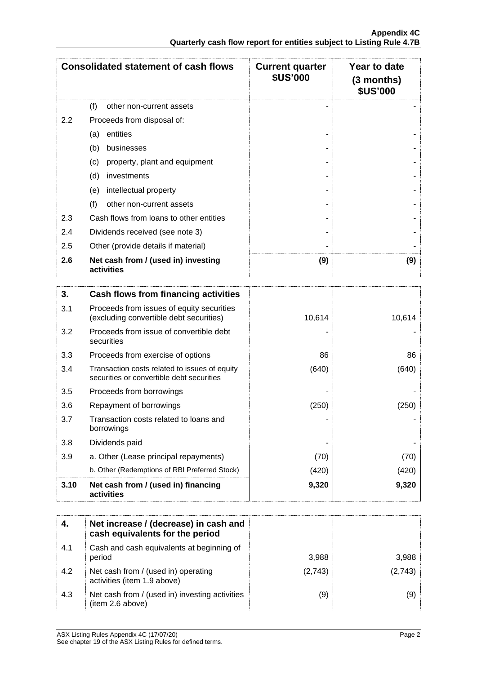|     | <b>Consolidated statement of cash flows</b>                                                | <b>Current quarter</b><br><b>\$US'000</b> | Year to date<br>$(3$ months)<br><b>\$US'000</b> |
|-----|--------------------------------------------------------------------------------------------|-------------------------------------------|-------------------------------------------------|
|     | (f)<br>other non-current assets                                                            |                                           |                                                 |
| 2.2 | Proceeds from disposal of:                                                                 |                                           |                                                 |
|     | entities<br>(a)                                                                            |                                           |                                                 |
|     | businesses<br>(b)                                                                          |                                           |                                                 |
|     | property, plant and equipment<br>(c)                                                       |                                           |                                                 |
|     | investments<br>(d)                                                                         |                                           |                                                 |
|     | intellectual property<br>(e)                                                               |                                           |                                                 |
|     | (f)<br>other non-current assets                                                            |                                           |                                                 |
| 2.3 | Cash flows from loans to other entities                                                    |                                           |                                                 |
| 2.4 | Dividends received (see note 3)                                                            |                                           |                                                 |
| 2.5 | Other (provide details if material)                                                        |                                           |                                                 |
| 2.6 | Net cash from / (used in) investing<br>activities                                          | (9)                                       | (9)                                             |
| 3.  | Cash flows from financing activities                                                       |                                           |                                                 |
| 3.1 | Proceeds from issues of equity securities<br>(excluding convertible debt securities)       | 10,614                                    | 10,614                                          |
| 3.2 | Proceeds from issue of convertible debt<br>securities                                      |                                           |                                                 |
| 3.3 | Proceeds from exercise of options                                                          | 86                                        | 86                                              |
| 3.4 | Transaction costs related to issues of equity<br>securities or convertible debt securities | (640)                                     | (640)                                           |
| 3.5 | Proceeds from borrowings                                                                   |                                           |                                                 |
| 3.6 | Repayment of borrowings                                                                    | (250)                                     | (250)                                           |
| 3.7 | Transaction costs related to loans and                                                     |                                           |                                                 |

| 3.10 | Net cash from / (used in) financing<br>activities   | 9,320 | 9,320 |
|------|-----------------------------------------------------|-------|-------|
|      | b. Other (Redemptions of RBI Preferred Stock)       | (420) | (420) |
| 3.9  | a. Other (Lease principal repayments)               | (70)  | (70)  |
| 3.8  | Dividends paid                                      | ۰     |       |
| .J.I | Hansaciion costs feiated to Ioans and<br>borrowings | -     |       |

| 4.  | Net increase / (decrease) in cash and<br>cash equivalents for the period |         |         |
|-----|--------------------------------------------------------------------------|---------|---------|
| 4.1 | Cash and cash equivalents at beginning of<br>period                      | 3,988   | 3,988   |
| 4.2 | Net cash from / (used in) operating<br>activities (item 1.9 above)       | (2,743) | (2,743) |
| 4.3 | Net cash from / (used in) investing activities<br>(item 2.6 above)       | (9)     | (9)     |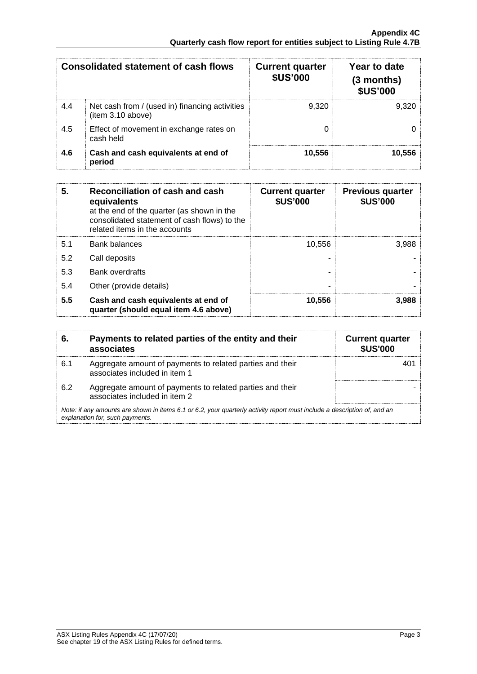| <b>Consolidated statement of cash flows</b> |                                                                     | <b>Current quarter</b><br><b>\$US'000</b> | Year to date<br>$(3$ months)<br><b>\$US'000</b> |
|---------------------------------------------|---------------------------------------------------------------------|-------------------------------------------|-------------------------------------------------|
| 4.4                                         | Net cash from / (used in) financing activities<br>(item 3.10 above) | 9.320                                     | 9.320                                           |
| 4.5                                         | Effect of movement in exchange rates on<br>cash held                |                                           |                                                 |
| 4.6                                         | Cash and cash equivalents at end of<br>period                       | 10,556                                    | 10,556                                          |

| 5.  | Reconciliation of cash and cash<br>equivalents<br>at the end of the quarter (as shown in the<br>consolidated statement of cash flows) to the<br>related items in the accounts | <b>Current quarter</b><br><b>\$US'000</b> | <b>Previous quarter</b><br><b>\$US'000</b> |
|-----|-------------------------------------------------------------------------------------------------------------------------------------------------------------------------------|-------------------------------------------|--------------------------------------------|
| 5.1 | <b>Bank balances</b>                                                                                                                                                          | 10.556                                    | 3.988                                      |
| 5.2 | Call deposits                                                                                                                                                                 |                                           |                                            |
| 5.3 | Bank overdrafts                                                                                                                                                               |                                           |                                            |
| 5.4 | Other (provide details)                                                                                                                                                       |                                           |                                            |
| 5.5 | Cash and cash equivalents at end of<br>quarter (should equal item 4.6 above)                                                                                                  | 10,556                                    | 3,988                                      |

| 6.  | Payments to related parties of the entity and their<br>associates                                                                                           | <b>Current quarter</b><br><b>\$US'000</b> |  |
|-----|-------------------------------------------------------------------------------------------------------------------------------------------------------------|-------------------------------------------|--|
| 6.1 | Aggregate amount of payments to related parties and their<br>associates included in item 1                                                                  | 40°                                       |  |
| 6.2 | Aggregate amount of payments to related parties and their<br>associates included in item 2                                                                  |                                           |  |
|     | Note: if any amounts are shown in items 6.1 or 6.2, your quarterly activity report must include a description of, and an<br>explanation for, such payments. |                                           |  |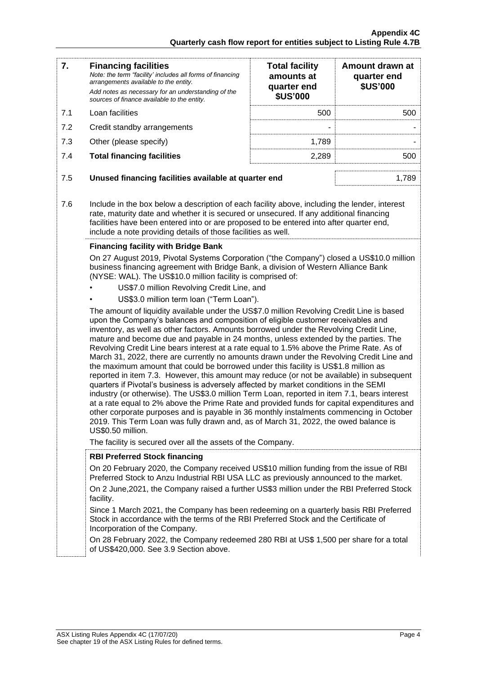| 7.  | <b>Financing facilities</b><br>Note: the term "facility' includes all forms of financing<br>arrangements available to the entity.<br>Add notes as necessary for an understanding of the<br>sources of finance available to the entity. | <b>Total facility</b><br>amounts at<br>quarter end<br><b>\$US'000</b> | Amount drawn at<br>quarter end<br><b>\$US'000</b> |
|-----|----------------------------------------------------------------------------------------------------------------------------------------------------------------------------------------------------------------------------------------|-----------------------------------------------------------------------|---------------------------------------------------|
| 7.1 | Loan facilities                                                                                                                                                                                                                        | 500                                                                   | 500                                               |
| 7.2 | Credit standby arrangements                                                                                                                                                                                                            | ۰                                                                     |                                                   |
| 7.3 | Other (please specify)                                                                                                                                                                                                                 | 1.789                                                                 |                                                   |
| 7.4 | <b>Total financing facilities</b>                                                                                                                                                                                                      | 2.289                                                                 | 500                                               |
|     |                                                                                                                                                                                                                                        |                                                                       |                                                   |
| 7.5 | Unused financing facilities available at quarter end                                                                                                                                                                                   |                                                                       | 1.789                                             |
|     |                                                                                                                                                                                                                                        |                                                                       |                                                   |

7.6 Include in the box below a description of each facility above, including the lender, interest rate, maturity date and whether it is secured or unsecured. If any additional financing facilities have been entered into or are proposed to be entered into after quarter end, include a note providing details of those facilities as well.

## **Financing facility with Bridge Bank**

On 27 August 2019, Pivotal Systems Corporation ("the Company") closed a US\$10.0 million business financing agreement with Bridge Bank, a division of Western Alliance Bank (NYSE: WAL). The US\$10.0 million facility is comprised of:

- US\$7.0 million Revolving Credit Line, and
- US\$3.0 million term loan ("Term Loan").

The amount of liquidity available under the US\$7.0 million Revolving Credit Line is based upon the Company's balances and composition of eligible customer receivables and inventory, as well as other factors. Amounts borrowed under the Revolving Credit Line, mature and become due and payable in 24 months, unless extended by the parties. The Revolving Credit Line bears interest at a rate equal to 1.5% above the Prime Rate. As of March 31, 2022, there are currently no amounts drawn under the Revolving Credit Line and the maximum amount that could be borrowed under this facility is US\$1.8 million as reported in item 7.3. However, this amount may reduce (or not be available) in subsequent quarters if Pivotal's business is adversely affected by market conditions in the SEMI industry (or otherwise). The US\$3.0 million Term Loan, reported in item 7.1, bears interest at a rate equal to 2% above the Prime Rate and provided funds for capital expenditures and other corporate purposes and is payable in 36 monthly instalments commencing in October 2019. This Term Loan was fully drawn and, as of March 31, 2022, the owed balance is US\$0.50 million.

The facility is secured over all the assets of the Company.

## **RBI Preferred Stock financing**

On 20 February 2020, the Company received US\$10 million funding from the issue of RBI Preferred Stock to Anzu Industrial RBI USA LLC as previously announced to the market.

On 2 June,2021, the Company raised a further US\$3 million under the RBI Preferred Stock facility.

Since 1 March 2021, the Company has been redeeming on a quarterly basis RBI Preferred Stock in accordance with the terms of the RBI Preferred Stock and the Certificate of Incorporation of the Company.

On 28 February 2022, the Company redeemed 280 RBI at US\$ 1,500 per share for a total of US\$420,000. See 3.9 Section above.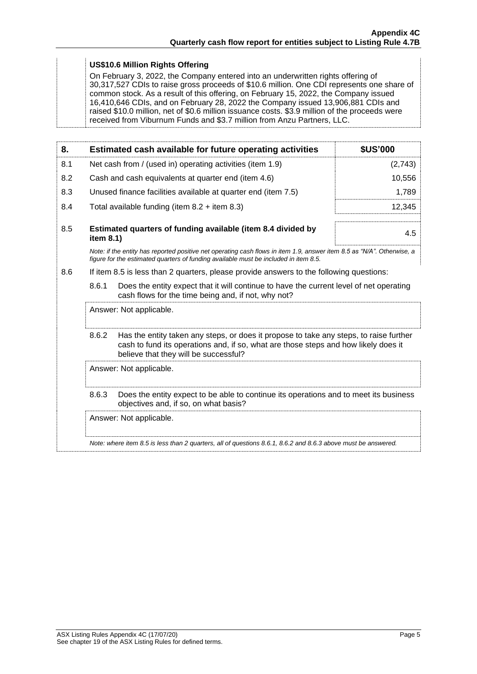### **US\$10.6 Million Rights Offering**

On February 3, 2022, the Company entered into an underwritten rights offering of 30,317,527 CDIs to raise gross proceeds of \$10.6 million. One CDI represents one share of common stock. As a result of this offering, on February 15, 2022, the Company issued 16,410,646 CDIs, and on February 28, 2022 the Company issued 13,906,881 CDIs and raised \$10.0 million, net of \$0.6 million issuance costs. \$3.9 million of the proceeds were received from Viburnum Funds and \$3.7 million from Anzu Partners, LLC.

| 8.  |                                                                                                                                                                                                                                 | Estimated cash available for future operating activities                                                                                                                                                       | <b>\$US'000</b> |
|-----|---------------------------------------------------------------------------------------------------------------------------------------------------------------------------------------------------------------------------------|----------------------------------------------------------------------------------------------------------------------------------------------------------------------------------------------------------------|-----------------|
| 8.1 | Net cash from / (used in) operating activities (item 1.9)                                                                                                                                                                       |                                                                                                                                                                                                                | (2,743)         |
| 8.2 |                                                                                                                                                                                                                                 | Cash and cash equivalents at quarter end (item 4.6)                                                                                                                                                            | 10,556          |
| 8.3 |                                                                                                                                                                                                                                 | Unused finance facilities available at quarter end (item 7.5)                                                                                                                                                  | 1,789           |
| 8.4 |                                                                                                                                                                                                                                 | Total available funding (item $8.2 +$ item $8.3$ )                                                                                                                                                             | 12,345          |
| 8.5 | item 8.1)                                                                                                                                                                                                                       | Estimated quarters of funding available (item 8.4 divided by                                                                                                                                                   | 4.5             |
|     |                                                                                                                                                                                                                                 | Note: if the entity has reported positive net operating cash flows in item 1.9, answer item 8.5 as "N/A". Otherwise, a<br>figure for the estimated quarters of funding available must be included in item 8.5. |                 |
| 8.6 |                                                                                                                                                                                                                                 | If item 8.5 is less than 2 quarters, please provide answers to the following questions:                                                                                                                        |                 |
|     | 8.6.1<br>Does the entity expect that it will continue to have the current level of net operating<br>cash flows for the time being and, if not, why not?                                                                         |                                                                                                                                                                                                                |                 |
|     |                                                                                                                                                                                                                                 | Answer: Not applicable.                                                                                                                                                                                        |                 |
|     | 8.6.2<br>Has the entity taken any steps, or does it propose to take any steps, to raise further<br>cash to fund its operations and, if so, what are those steps and how likely does it<br>believe that they will be successful? |                                                                                                                                                                                                                |                 |
|     | Answer: Not applicable.                                                                                                                                                                                                         |                                                                                                                                                                                                                |                 |
|     | Does the entity expect to be able to continue its operations and to meet its business<br>8.6.3<br>objectives and, if so, on what basis?                                                                                         |                                                                                                                                                                                                                |                 |
|     |                                                                                                                                                                                                                                 | Answer: Not applicable.                                                                                                                                                                                        |                 |
|     |                                                                                                                                                                                                                                 | Note: where item 8.5 is less than 2 quarters, all of questions 8.6.1, 8.6.2 and 8.6.3 above must be answered.                                                                                                  |                 |